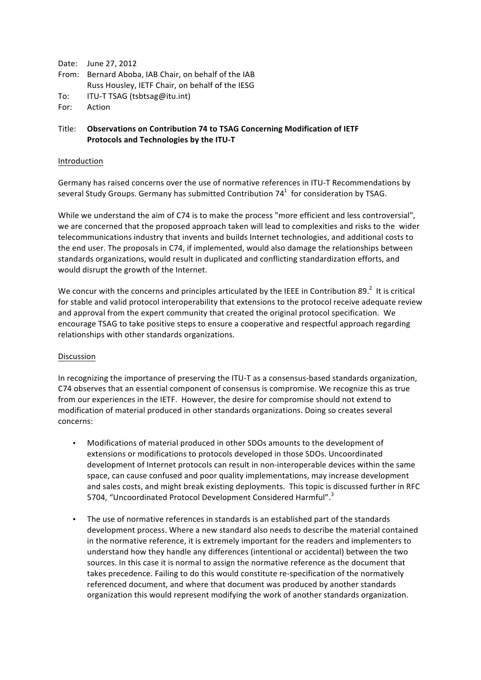|      | Date: June 27, 2012                                  |
|------|------------------------------------------------------|
|      | From: Bernard Aboba, IAB Chair, on behalf of the IAB |
|      | Russ Housley, IETF Chair, on behalf of the IESG      |
| To:  | ITU-T TSAG (tsbtsag@itu.int)                         |
| For: | Action                                               |

## Title: **Observations on Contribution 74 to TSAG Concerning Modification of IETF Protocols and Technologies by the ITU-T**

## Introduction

Germany has raised concerns over the use of normative references in ITU-T Recommendations by several Study Groups. Germany has submitted Contribution  $74<sup>1</sup>$  for consideration by TSAG.

While we understand the aim of C74 is to make the process "more efficient and less controversial", we are concerned that the proposed approach taken will lead to complexities and risks to the wider telecommunications industry that invents and builds Internet technologies, and additional costs to the end user. The proposals in C74, if implemented, would also damage the relationships between standards organizations, would result in duplicated and conflicting standardization efforts, and would disrupt the growth of the Internet.

We concur with the concerns and principles articulated by the IEEE in Contribution 89.<sup>2</sup> It is critical for stable and valid protocol interoperability that extensions to the protocol receive adequate review and approval from the expert community that created the original protocol specification. We encourage TSAG to take positive steps to ensure a cooperative and respectful approach regarding relationships with other standards organizations.

## Discussion

In recognizing the importance of preserving the ITU-T as a consensus-based standards organization, C74 observes that an essential component of consensus is compromise. We recognize this as true from our experiences in the IETF. However, the desire for compromise should not extend to modification of material produced in other standards organizations. Doing so creates several concerns:

- Modifications of material produced in other SDOs amounts to the development of extensions or modifications to protocols developed in those SDOs. Uncoordinated development of Internet protocols can result in non-interoperable devices within the same space, can cause confused and poor quality implementations, may increase development and sales costs, and might break existing deployments. This topic is discussed further in RFC 5704, "Uncoordinated Protocol Development Considered Harmful".<sup>3</sup>
- The use of normative references in standards is an established part of the standards development process. Where a new standard also needs to describe the material contained in the normative reference, it is extremely important for the readers and implementers to understand how they handle any differences (intentional or accidental) between the two sources. In this case it is normal to assign the normative reference as the document that takes precedence. Failing to do this would constitute re-specification of the normatively referenced document, and where that document was produced by another standards organization this would represent modifying the work of another standards organization.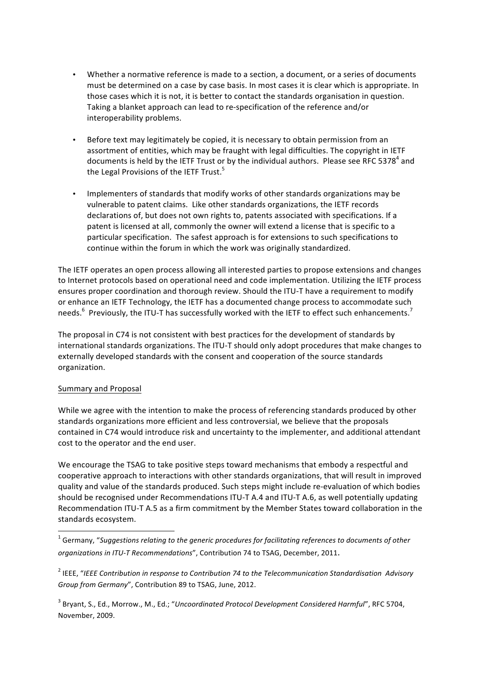- Whether a normative reference is made to a section, a document, or a series of documents must be determined on a case by case basis. In most cases it is clear which is appropriate. In those cases which it is not, it is better to contact the standards organisation in question. Taking a blanket approach can lead to re-specification of the reference and/or interoperability problems.
- Before text may legitimately be copied, it is necessary to obtain permission from an assortment of entities, which may be fraught with legal difficulties. The copyright in IETF documents is held by the IETF Trust or by the individual authors. Please see RFC 5378<sup>4</sup> and the Legal Provisions of the IETF Trust.<sup>5</sup>
- Implementers of standards that modify works of other standards organizations may be vulnerable to patent claims. Like other standards organizations, the IETF records declarations of, but does not own rights to, patents associated with specifications. If a patent is licensed at all, commonly the owner will extend a license that is specific to a particular specification. The safest approach is for extensions to such specifications to continue within the forum in which the work was originally standardized.

The IETF operates an open process allowing all interested parties to propose extensions and changes to Internet protocols based on operational need and code implementation. Utilizing the IETF process ensures proper coordination and thorough review. Should the ITU-T have a requirement to modify or enhance an IETF Technology, the IETF has a documented change process to accommodate such needs.<sup>6</sup> Previously, the ITU-T has successfully worked with the IETF to effect such enhancements.<sup>7</sup>

The proposal in C74 is not consistent with best practices for the development of standards by international standards organizations. The ITU-T should only adopt procedures that make changes to externally developed standards with the consent and cooperation of the source standards organization.

## Summary and Proposal

<u> 1989 - Jan Samuel Barbara, margaret e</u>

While we agree with the intention to make the process of referencing standards produced by other standards organizations more efficient and less controversial, we believe that the proposals contained in C74 would introduce risk and uncertainty to the implementer, and additional attendant cost to the operator and the end user.

We encourage the TSAG to take positive steps toward mechanisms that embody a respectful and cooperative approach to interactions with other standards organizations, that will result in improved quality and value of the standards produced. Such steps might include re-evaluation of which bodies should be recognised under Recommendations ITU-T A.4 and ITU-T A.6, as well potentially updating Recommendation ITU-T A.5 as a firm commitment by the Member States toward collaboration in the standards ecosystem.

<sup>1</sup> Germany, "Suggestions relating to the generic procedures for facilitating references to documents of other *organizations in ITU-T Recommendations"*, Contribution 74 to TSAG, December, 2011.

<sup>2</sup> IEEE, "IEEE Contribution in response to Contribution 74 to the Telecommunication Standardisation Advisory *Group from Germany"*, Contribution 89 to TSAG, June, 2012.

<sup>3</sup> Bryant, S., Ed., Morrow., M., Ed.; "Uncoordinated Protocol Development Considered Harmful", RFC 5704, November, 2009.